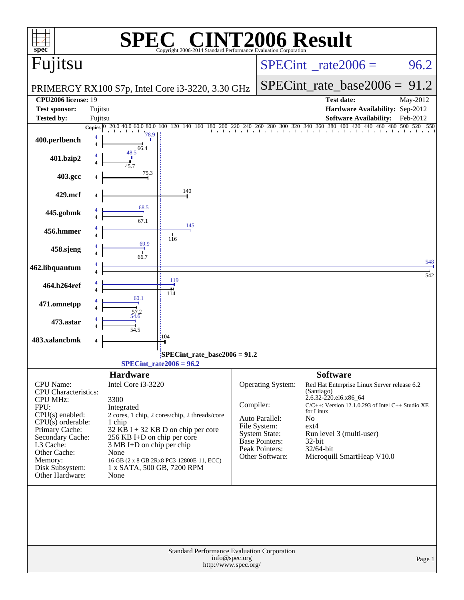| $spec^*$                                           |                                                                                 | $\bigcap_{\mathbb{R}}$ $\bigcap$<br>Copyright 2006-2014 Standard Performance Evaluation Corporation |               |                                        | <b>INT2006 Result</b>                                                          |          |
|----------------------------------------------------|---------------------------------------------------------------------------------|-----------------------------------------------------------------------------------------------------|---------------|----------------------------------------|--------------------------------------------------------------------------------|----------|
| Fujitsu                                            |                                                                                 |                                                                                                     |               |                                        | $SPECint^{\circ}$ <sub>_rate2006</sub> =                                       | 96.2     |
|                                                    |                                                                                 | PRIMERGY RX100 S7p, Intel Core i3-3220, 3.30 GHz                                                    |               | $SPECint_rate\_base2006 =$             | 91.2                                                                           |          |
| <b>CPU2006</b> license: 19<br><b>Test sponsor:</b> | Fujitsu                                                                         |                                                                                                     |               |                                        | <b>Test date:</b><br>Hardware Availability: Sep-2012                           | May-2012 |
| <b>Tested by:</b>                                  | Fujitsu                                                                         |                                                                                                     |               |                                        | <b>Software Availability:</b>                                                  | Feb-2012 |
|                                                    | Copies $\begin{array}{ l} 0 & \overline{20.0,40.0,60.0} \\ \end{array}$<br>78.9 |                                                                                                     |               |                                        | 400 420 440 460 480 500 520 550                                                |          |
| 400.perlbench                                      | 66.4                                                                            |                                                                                                     |               |                                        |                                                                                |          |
| 401.bzip2                                          | 48.5                                                                            |                                                                                                     |               |                                        |                                                                                |          |
| 403.gcc                                            | 75.3                                                                            |                                                                                                     |               |                                        |                                                                                |          |
| 429.mcf                                            |                                                                                 | 140                                                                                                 |               |                                        |                                                                                |          |
| 445.gobmk                                          | 68.5<br>$\frac{1}{67.1}$                                                        |                                                                                                     |               |                                        |                                                                                |          |
| 456.hmmer                                          |                                                                                 | 145                                                                                                 |               |                                        |                                                                                |          |
| 458.sjeng                                          | 69.9                                                                            | 116                                                                                                 |               |                                        |                                                                                |          |
| 462.libquantum                                     | $\frac{1}{66.7}$                                                                |                                                                                                     |               |                                        |                                                                                | 548      |
| 464.h264ref                                        |                                                                                 | 119                                                                                                 |               |                                        |                                                                                | 542      |
| 471.omnetpp                                        | 60.1                                                                            | 114                                                                                                 |               |                                        |                                                                                |          |
| 473.astar                                          | 57.2<br>54.6                                                                    |                                                                                                     |               |                                        |                                                                                |          |
| 483.xalancbmk                                      | 54.5                                                                            | :104                                                                                                |               |                                        |                                                                                |          |
|                                                    |                                                                                 |                                                                                                     |               |                                        |                                                                                |          |
|                                                    |                                                                                 | SPECint_rate_base2006 = 91.2<br>$SPECint_rate2006 = 96.2$                                           |               |                                        |                                                                                |          |
|                                                    | <b>Hardware</b>                                                                 |                                                                                                     |               |                                        | <b>Software</b>                                                                |          |
| <b>CPU</b> Name:<br><b>CPU</b> Characteristics:    | Intel Core i3-3220                                                              |                                                                                                     |               | Operating System:                      | Red Hat Enterprise Linux Server release 6.2<br>(Santiago)                      |          |
| <b>CPU MHz:</b>                                    | 3300                                                                            |                                                                                                     | Compiler:     |                                        | 2.6.32-220.el6.x86_64<br>$C/C++$ : Version 12.1.0.293 of Intel $C++$ Studio XE |          |
| FPU:<br>$CPU(s)$ enabled:                          | Integrated                                                                      | 2 cores, 1 chip, 2 cores/chip, 2 threads/core                                                       |               |                                        | for Linux                                                                      |          |
| $CPU(s)$ orderable:                                | 1 chip                                                                          |                                                                                                     |               | Auto Parallel:<br>File System:         | No<br>$ext{4}$                                                                 |          |
| Primary Cache:<br>Secondary Cache:                 | $256$ KB I+D on chip per core                                                   | $32$ KB I + 32 KB D on chip per core                                                                |               | <b>System State:</b><br>Base Pointers: | Run level 3 (multi-user)                                                       |          |
| L3 Cache:<br>Other Cache:                          | 3 MB I+D on chip per chip                                                       |                                                                                                     |               | Peak Pointers:                         | 32-bit<br>32/64-bit                                                            |          |
| Memory:                                            | None                                                                            | 16 GB (2 x 8 GB 2Rx8 PC3-12800E-11, ECC)                                                            |               | Other Software:                        | Microquill SmartHeap V10.0                                                     |          |
| Disk Subsystem:<br>Other Hardware:                 | 1 x SATA, 500 GB, 7200 RPM<br>None                                              |                                                                                                     |               |                                        |                                                                                |          |
|                                                    |                                                                                 |                                                                                                     |               |                                        |                                                                                |          |
|                                                    |                                                                                 | Standard Performance Evaluation Corporation<br>http://www.spec.org/                                 | info@spec.org |                                        |                                                                                | Page 1   |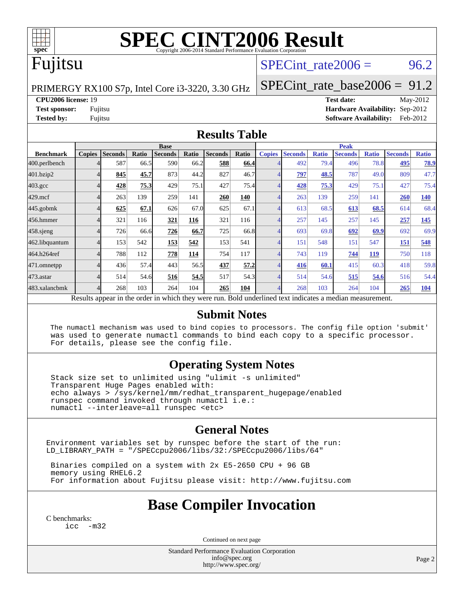

# **[SPEC CINT2006 Result](http://www.spec.org/auto/cpu2006/Docs/result-fields.html#SPECCINT2006Result)**

## Fujitsu

### SPECint rate  $2006 = 96.2$

PRIMERGY RX100 S7p, Intel Core i3-3220, 3.30 GHz

[SPECint\\_rate\\_base2006 =](http://www.spec.org/auto/cpu2006/Docs/result-fields.html#SPECintratebase2006) 91.2

**[CPU2006 license:](http://www.spec.org/auto/cpu2006/Docs/result-fields.html#CPU2006license)** 19 **[Test date:](http://www.spec.org/auto/cpu2006/Docs/result-fields.html#Testdate)** May-2012 **[Test sponsor:](http://www.spec.org/auto/cpu2006/Docs/result-fields.html#Testsponsor)** Fujitsu **[Hardware Availability:](http://www.spec.org/auto/cpu2006/Docs/result-fields.html#HardwareAvailability)** Sep-2012 **[Tested by:](http://www.spec.org/auto/cpu2006/Docs/result-fields.html#Testedby)** Fujitsu **Fugital Example 2012 [Software Availability:](http://www.spec.org/auto/cpu2006/Docs/result-fields.html#SoftwareAvailability)** Feb-2012

#### **[Results Table](http://www.spec.org/auto/cpu2006/Docs/result-fields.html#ResultsTable)**

|                                                                                                          | <b>Base</b>   |                |       |                |       |                | <b>Peak</b> |               |                |              |                |              |                |              |
|----------------------------------------------------------------------------------------------------------|---------------|----------------|-------|----------------|-------|----------------|-------------|---------------|----------------|--------------|----------------|--------------|----------------|--------------|
| <b>Benchmark</b>                                                                                         | <b>Copies</b> | <b>Seconds</b> | Ratio | <b>Seconds</b> | Ratio | <b>Seconds</b> | Ratio       | <b>Copies</b> | <b>Seconds</b> | <b>Ratio</b> | <b>Seconds</b> | <b>Ratio</b> | <b>Seconds</b> | <b>Ratio</b> |
| 400.perlbench                                                                                            |               | 587            | 66.5  | 590            | 66.2  | 588            | 66.4        |               | 492            | 79.4         | 496            | 78.8         | 495            | 78.9         |
| 401.bzip2                                                                                                |               | 845            | 45.7  | 873            | 44.2  | 827            | 46.7        |               | 797            | 48.5         | 787            | 49.0         | 809            | 47.7         |
| $403.\mathrm{gcc}$                                                                                       |               | 428            | 75.3  | 429            | 75.1  | 427            | 75.4        |               | 428            | 75.3         | 429            | 75.1         | 427            | 75.4         |
| $429$ .mcf                                                                                               |               | 263            | 139   | 259            | 141   | 260            | 140         |               | 263            | 139          | 259            | 141          | 260            | <b>140</b>   |
| $445$ .gobm $k$                                                                                          |               | 625            | 67.1  | 626            | 67.0  | 625            | 67.1        |               | 613            | 68.5         | 613            | 68.5         | 614            | 68.4         |
| 456.hmmer                                                                                                |               | 321            | 116   | 321            | 116   | 321            | 116         |               | 257            | 145          | 257            | 145          | 257            | 145          |
| $458$ .sjeng                                                                                             |               | 726            | 66.6  | 726            | 66.7  | 725            | 66.8        |               | 693            | 69.8         | 692            | 69.9         | 692            | 69.9         |
| 462.libquantum                                                                                           |               | 153            | 542   | 153            | 542   | 153            | 541         |               | 151            | 548          | 151            | 547          | 151            | 548          |
| 464.h264ref                                                                                              |               | 788            | 112   | 778            | 114   | 754            | 117         |               | 743            | 119          | 744            | <b>119</b>   | 750            | 118          |
| 471.omnetpp                                                                                              |               | 436            | 57.4  | 443            | 56.5  | 437            | 57.2        |               | 416            | 60.1         | 415            | 60.3         | 418            | 59.8         |
| $473$ . astar                                                                                            |               | 514            | 54.6  | 516            | 54.5  | 517            | 54.3        |               | 514            | 54.6         | 515            | 54.6         | 516            | 54.4         |
| 483.xalancbmk                                                                                            |               | 268            | 103   | 264            | 104   | 265            | 104         |               | 268            | 103          | 264            | 104          | 265            | 104          |
| Results appear in the order in which they were run. Bold underlined text indicates a median measurement. |               |                |       |                |       |                |             |               |                |              |                |              |                |              |

#### **[Submit Notes](http://www.spec.org/auto/cpu2006/Docs/result-fields.html#SubmitNotes)**

 The numactl mechanism was used to bind copies to processors. The config file option 'submit' was used to generate numactl commands to bind each copy to a specific processor. For details, please see the config file.

### **[Operating System Notes](http://www.spec.org/auto/cpu2006/Docs/result-fields.html#OperatingSystemNotes)**

 Stack size set to unlimited using "ulimit -s unlimited" Transparent Huge Pages enabled with: echo always > /sys/kernel/mm/redhat\_transparent\_hugepage/enabled runspec command invoked through numactl i.e.: numactl --interleave=all runspec <etc>

### **[General Notes](http://www.spec.org/auto/cpu2006/Docs/result-fields.html#GeneralNotes)**

Environment variables set by runspec before the start of the run: LD\_LIBRARY\_PATH = "/SPECcpu2006/libs/32:/SPECcpu2006/libs/64"

 Binaries compiled on a system with 2x E5-2650 CPU + 96 GB memory using RHEL6.2 For information about Fujitsu please visit: <http://www.fujitsu.com>

### **[Base Compiler Invocation](http://www.spec.org/auto/cpu2006/Docs/result-fields.html#BaseCompilerInvocation)**

[C benchmarks](http://www.spec.org/auto/cpu2006/Docs/result-fields.html#Cbenchmarks): [icc -m32](http://www.spec.org/cpu2006/results/res2012q3/cpu2006-20120822-24270.flags.html#user_CCbase_intel_icc_5ff4a39e364c98233615fdd38438c6f2)

Continued on next page

Standard Performance Evaluation Corporation [info@spec.org](mailto:info@spec.org) <http://www.spec.org/>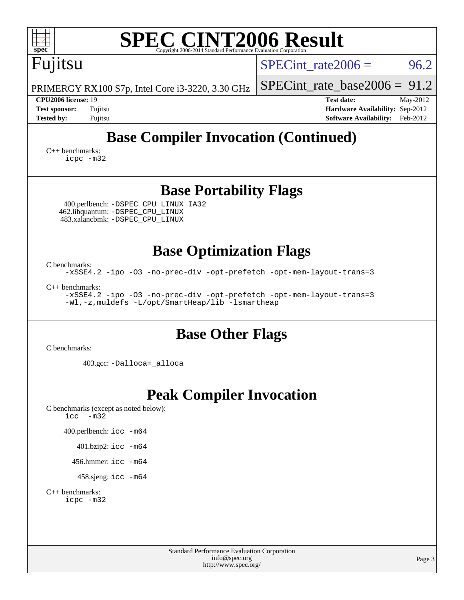| <b>SPEC CINT2006 Result</b><br>п<br>$spec^*$<br>Copyright 2006-2014 Standard Performance Evaluation Corporation                                  |                                                                                                               |  |  |  |  |  |  |
|--------------------------------------------------------------------------------------------------------------------------------------------------|---------------------------------------------------------------------------------------------------------------|--|--|--|--|--|--|
| Fujitsu                                                                                                                                          | SPECint rate $2006 =$<br>96.2                                                                                 |  |  |  |  |  |  |
| PRIMERGY RX100 S7p, Intel Core i3-3220, 3.30 GHz                                                                                                 | $SPECint_rate_base2006 = 91.2$                                                                                |  |  |  |  |  |  |
| CPU2006 license: 19<br><b>Test sponsor:</b><br>Fujitsu<br><b>Tested by:</b><br>Fujitsu                                                           | <b>Test date:</b><br>May-2012<br>Hardware Availability: Sep-2012<br>Feb-2012<br><b>Software Availability:</b> |  |  |  |  |  |  |
| <b>Base Compiler Invocation (Continued)</b>                                                                                                      |                                                                                                               |  |  |  |  |  |  |
| $C_{++}$ benchmarks:<br>icpc -m32                                                                                                                |                                                                                                               |  |  |  |  |  |  |
| <b>Base Portability Flags</b>                                                                                                                    |                                                                                                               |  |  |  |  |  |  |
| 400.perlbench: -DSPEC_CPU_LINUX_IA32<br>462.libquantum: - DSPEC CPU LINUX<br>483.xalancbmk: -DSPEC_CPU_LINUX                                     |                                                                                                               |  |  |  |  |  |  |
| <b>Base Optimization Flags</b>                                                                                                                   |                                                                                                               |  |  |  |  |  |  |
| C benchmarks:<br>-xSSE4.2 -ipo -03 -no-prec-div -opt-prefetch -opt-mem-layout-trans=3                                                            |                                                                                                               |  |  |  |  |  |  |
| $C_{++}$ benchmarks:<br>-xSSE4.2 -ipo -03 -no-prec-div -opt-prefetch -opt-mem-layout-trans=3<br>-Wl,-z, muldefs -L/opt/SmartHeap/lib -lsmartheap |                                                                                                               |  |  |  |  |  |  |
| <b>Base Other Flags</b><br>C benchmarks:                                                                                                         |                                                                                                               |  |  |  |  |  |  |
| 403.gcc: -Dalloca=_alloca                                                                                                                        |                                                                                                               |  |  |  |  |  |  |
| <b>Peak Compiler Invocation</b><br>C benchmarks (except as noted below):<br>icc<br>$-m32$<br>400.perlbench: icc -m64                             |                                                                                                               |  |  |  |  |  |  |
| 401.bzip2: icc -m64<br>456.hmmer: $\text{icc}$ -m64                                                                                              |                                                                                                               |  |  |  |  |  |  |
| 458.sjeng: icc -m64                                                                                                                              |                                                                                                               |  |  |  |  |  |  |
| $C_{++}$ benchmarks:<br>icpc -m32                                                                                                                |                                                                                                               |  |  |  |  |  |  |
| <b>Standard Performance Evaluation Corporation</b><br>info@spec.org<br>http://www.spec.org/                                                      | Page 3                                                                                                        |  |  |  |  |  |  |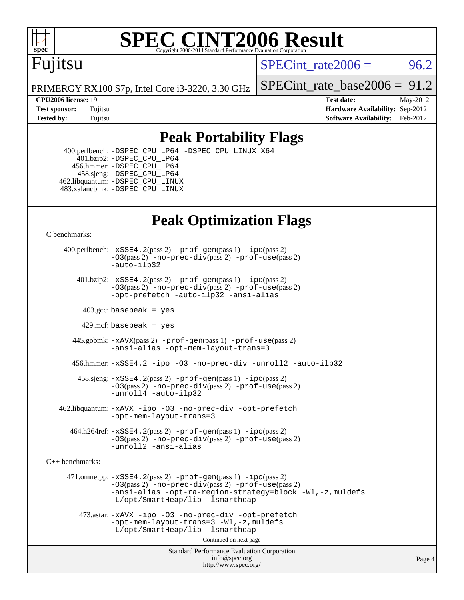

# **[SPEC CINT2006 Result](http://www.spec.org/auto/cpu2006/Docs/result-fields.html#SPECCINT2006Result)**

## Fujitsu

SPECint rate $2006 = 96.2$ 

PRIMERGY RX100 S7p, Intel Core i3-3220, 3.30 GHz

**[CPU2006 license:](http://www.spec.org/auto/cpu2006/Docs/result-fields.html#CPU2006license)** 19 **[Test date:](http://www.spec.org/auto/cpu2006/Docs/result-fields.html#Testdate)** May-2012

[SPECint\\_rate\\_base2006 =](http://www.spec.org/auto/cpu2006/Docs/result-fields.html#SPECintratebase2006) 91.2

**[Test sponsor:](http://www.spec.org/auto/cpu2006/Docs/result-fields.html#Testsponsor)** Fujitsu **[Hardware Availability:](http://www.spec.org/auto/cpu2006/Docs/result-fields.html#HardwareAvailability)** Sep-2012 **[Tested by:](http://www.spec.org/auto/cpu2006/Docs/result-fields.html#Testedby)** Fujitsu **Fugital Example 2012 [Software Availability:](http://www.spec.org/auto/cpu2006/Docs/result-fields.html#SoftwareAvailability)** Feb-2012

### **[Peak Portability Flags](http://www.spec.org/auto/cpu2006/Docs/result-fields.html#PeakPortabilityFlags)**

 400.perlbench: [-DSPEC\\_CPU\\_LP64](http://www.spec.org/cpu2006/results/res2012q3/cpu2006-20120822-24270.flags.html#b400.perlbench_peakCPORTABILITY_DSPEC_CPU_LP64) [-DSPEC\\_CPU\\_LINUX\\_X64](http://www.spec.org/cpu2006/results/res2012q3/cpu2006-20120822-24270.flags.html#b400.perlbench_peakCPORTABILITY_DSPEC_CPU_LINUX_X64)  $401.bzip2: -DSPEC_CPULP64$  456.hmmer: [-DSPEC\\_CPU\\_LP64](http://www.spec.org/cpu2006/results/res2012q3/cpu2006-20120822-24270.flags.html#suite_peakCPORTABILITY456_hmmer_DSPEC_CPU_LP64) 458.sjeng: [-DSPEC\\_CPU\\_LP64](http://www.spec.org/cpu2006/results/res2012q3/cpu2006-20120822-24270.flags.html#suite_peakCPORTABILITY458_sjeng_DSPEC_CPU_LP64) 462.libquantum: [-DSPEC\\_CPU\\_LINUX](http://www.spec.org/cpu2006/results/res2012q3/cpu2006-20120822-24270.flags.html#b462.libquantum_peakCPORTABILITY_DSPEC_CPU_LINUX) 483.xalancbmk: [-DSPEC\\_CPU\\_LINUX](http://www.spec.org/cpu2006/results/res2012q3/cpu2006-20120822-24270.flags.html#b483.xalancbmk_peakCXXPORTABILITY_DSPEC_CPU_LINUX)

### **[Peak Optimization Flags](http://www.spec.org/auto/cpu2006/Docs/result-fields.html#PeakOptimizationFlags)**

[C benchmarks](http://www.spec.org/auto/cpu2006/Docs/result-fields.html#Cbenchmarks):

 400.perlbench: [-xSSE4.2](http://www.spec.org/cpu2006/results/res2012q3/cpu2006-20120822-24270.flags.html#user_peakPASS2_CFLAGSPASS2_LDCFLAGS400_perlbench_f-xSSE42_f91528193cf0b216347adb8b939d4107)(pass 2) [-prof-gen](http://www.spec.org/cpu2006/results/res2012q3/cpu2006-20120822-24270.flags.html#user_peakPASS1_CFLAGSPASS1_LDCFLAGS400_perlbench_prof_gen_e43856698f6ca7b7e442dfd80e94a8fc)(pass 1) [-ipo](http://www.spec.org/cpu2006/results/res2012q3/cpu2006-20120822-24270.flags.html#user_peakPASS2_CFLAGSPASS2_LDCFLAGS400_perlbench_f-ipo)(pass 2) [-O3](http://www.spec.org/cpu2006/results/res2012q3/cpu2006-20120822-24270.flags.html#user_peakPASS2_CFLAGSPASS2_LDCFLAGS400_perlbench_f-O3)(pass 2) [-no-prec-div](http://www.spec.org/cpu2006/results/res2012q3/cpu2006-20120822-24270.flags.html#user_peakPASS2_CFLAGSPASS2_LDCFLAGS400_perlbench_f-no-prec-div)(pass 2) [-prof-use](http://www.spec.org/cpu2006/results/res2012q3/cpu2006-20120822-24270.flags.html#user_peakPASS2_CFLAGSPASS2_LDCFLAGS400_perlbench_prof_use_bccf7792157ff70d64e32fe3e1250b55)(pass 2) [-auto-ilp32](http://www.spec.org/cpu2006/results/res2012q3/cpu2006-20120822-24270.flags.html#user_peakCOPTIMIZE400_perlbench_f-auto-ilp32) 401.bzip2: [-xSSE4.2](http://www.spec.org/cpu2006/results/res2012q3/cpu2006-20120822-24270.flags.html#user_peakPASS2_CFLAGSPASS2_LDCFLAGS401_bzip2_f-xSSE42_f91528193cf0b216347adb8b939d4107)(pass 2) [-prof-gen](http://www.spec.org/cpu2006/results/res2012q3/cpu2006-20120822-24270.flags.html#user_peakPASS1_CFLAGSPASS1_LDCFLAGS401_bzip2_prof_gen_e43856698f6ca7b7e442dfd80e94a8fc)(pass 1) [-ipo](http://www.spec.org/cpu2006/results/res2012q3/cpu2006-20120822-24270.flags.html#user_peakPASS2_CFLAGSPASS2_LDCFLAGS401_bzip2_f-ipo)(pass 2) [-O3](http://www.spec.org/cpu2006/results/res2012q3/cpu2006-20120822-24270.flags.html#user_peakPASS2_CFLAGSPASS2_LDCFLAGS401_bzip2_f-O3)(pass 2) [-no-prec-div](http://www.spec.org/cpu2006/results/res2012q3/cpu2006-20120822-24270.flags.html#user_peakPASS2_CFLAGSPASS2_LDCFLAGS401_bzip2_f-no-prec-div)(pass 2) [-prof-use](http://www.spec.org/cpu2006/results/res2012q3/cpu2006-20120822-24270.flags.html#user_peakPASS2_CFLAGSPASS2_LDCFLAGS401_bzip2_prof_use_bccf7792157ff70d64e32fe3e1250b55)(pass 2) [-opt-prefetch](http://www.spec.org/cpu2006/results/res2012q3/cpu2006-20120822-24270.flags.html#user_peakCOPTIMIZE401_bzip2_f-opt-prefetch) [-auto-ilp32](http://www.spec.org/cpu2006/results/res2012q3/cpu2006-20120822-24270.flags.html#user_peakCOPTIMIZE401_bzip2_f-auto-ilp32) [-ansi-alias](http://www.spec.org/cpu2006/results/res2012q3/cpu2006-20120822-24270.flags.html#user_peakCOPTIMIZE401_bzip2_f-ansi-alias)  $403.\text{sec: basepeak}$  = yes 429.mcf: basepeak = yes 445.gobmk: [-xAVX](http://www.spec.org/cpu2006/results/res2012q3/cpu2006-20120822-24270.flags.html#user_peakPASS2_CFLAGSPASS2_LDCFLAGS445_gobmk_f-xAVX)(pass 2) [-prof-gen](http://www.spec.org/cpu2006/results/res2012q3/cpu2006-20120822-24270.flags.html#user_peakPASS1_CFLAGSPASS1_LDCFLAGS445_gobmk_prof_gen_e43856698f6ca7b7e442dfd80e94a8fc)(pass 1) [-prof-use](http://www.spec.org/cpu2006/results/res2012q3/cpu2006-20120822-24270.flags.html#user_peakPASS2_CFLAGSPASS2_LDCFLAGS445_gobmk_prof_use_bccf7792157ff70d64e32fe3e1250b55)(pass 2) [-ansi-alias](http://www.spec.org/cpu2006/results/res2012q3/cpu2006-20120822-24270.flags.html#user_peakCOPTIMIZE445_gobmk_f-ansi-alias) [-opt-mem-layout-trans=3](http://www.spec.org/cpu2006/results/res2012q3/cpu2006-20120822-24270.flags.html#user_peakCOPTIMIZE445_gobmk_f-opt-mem-layout-trans_a7b82ad4bd7abf52556d4961a2ae94d5) 456.hmmer: [-xSSE4.2](http://www.spec.org/cpu2006/results/res2012q3/cpu2006-20120822-24270.flags.html#user_peakCOPTIMIZE456_hmmer_f-xSSE42_f91528193cf0b216347adb8b939d4107) [-ipo](http://www.spec.org/cpu2006/results/res2012q3/cpu2006-20120822-24270.flags.html#user_peakCOPTIMIZE456_hmmer_f-ipo) [-O3](http://www.spec.org/cpu2006/results/res2012q3/cpu2006-20120822-24270.flags.html#user_peakCOPTIMIZE456_hmmer_f-O3) [-no-prec-div](http://www.spec.org/cpu2006/results/res2012q3/cpu2006-20120822-24270.flags.html#user_peakCOPTIMIZE456_hmmer_f-no-prec-div) [-unroll2](http://www.spec.org/cpu2006/results/res2012q3/cpu2006-20120822-24270.flags.html#user_peakCOPTIMIZE456_hmmer_f-unroll_784dae83bebfb236979b41d2422d7ec2) [-auto-ilp32](http://www.spec.org/cpu2006/results/res2012q3/cpu2006-20120822-24270.flags.html#user_peakCOPTIMIZE456_hmmer_f-auto-ilp32) 458.sjeng: [-xSSE4.2](http://www.spec.org/cpu2006/results/res2012q3/cpu2006-20120822-24270.flags.html#user_peakPASS2_CFLAGSPASS2_LDCFLAGS458_sjeng_f-xSSE42_f91528193cf0b216347adb8b939d4107)(pass 2) [-prof-gen](http://www.spec.org/cpu2006/results/res2012q3/cpu2006-20120822-24270.flags.html#user_peakPASS1_CFLAGSPASS1_LDCFLAGS458_sjeng_prof_gen_e43856698f6ca7b7e442dfd80e94a8fc)(pass 1) [-ipo](http://www.spec.org/cpu2006/results/res2012q3/cpu2006-20120822-24270.flags.html#user_peakPASS2_CFLAGSPASS2_LDCFLAGS458_sjeng_f-ipo)(pass 2) [-O3](http://www.spec.org/cpu2006/results/res2012q3/cpu2006-20120822-24270.flags.html#user_peakPASS2_CFLAGSPASS2_LDCFLAGS458_sjeng_f-O3)(pass 2) [-no-prec-div](http://www.spec.org/cpu2006/results/res2012q3/cpu2006-20120822-24270.flags.html#user_peakPASS2_CFLAGSPASS2_LDCFLAGS458_sjeng_f-no-prec-div)(pass 2) [-prof-use](http://www.spec.org/cpu2006/results/res2012q3/cpu2006-20120822-24270.flags.html#user_peakPASS2_CFLAGSPASS2_LDCFLAGS458_sjeng_prof_use_bccf7792157ff70d64e32fe3e1250b55)(pass 2) [-unroll4](http://www.spec.org/cpu2006/results/res2012q3/cpu2006-20120822-24270.flags.html#user_peakCOPTIMIZE458_sjeng_f-unroll_4e5e4ed65b7fd20bdcd365bec371b81f) [-auto-ilp32](http://www.spec.org/cpu2006/results/res2012q3/cpu2006-20120822-24270.flags.html#user_peakCOPTIMIZE458_sjeng_f-auto-ilp32) 462.libquantum: [-xAVX](http://www.spec.org/cpu2006/results/res2012q3/cpu2006-20120822-24270.flags.html#user_peakCOPTIMIZE462_libquantum_f-xAVX) [-ipo](http://www.spec.org/cpu2006/results/res2012q3/cpu2006-20120822-24270.flags.html#user_peakCOPTIMIZE462_libquantum_f-ipo) [-O3](http://www.spec.org/cpu2006/results/res2012q3/cpu2006-20120822-24270.flags.html#user_peakCOPTIMIZE462_libquantum_f-O3) [-no-prec-div](http://www.spec.org/cpu2006/results/res2012q3/cpu2006-20120822-24270.flags.html#user_peakCOPTIMIZE462_libquantum_f-no-prec-div) [-opt-prefetch](http://www.spec.org/cpu2006/results/res2012q3/cpu2006-20120822-24270.flags.html#user_peakCOPTIMIZE462_libquantum_f-opt-prefetch) [-opt-mem-layout-trans=3](http://www.spec.org/cpu2006/results/res2012q3/cpu2006-20120822-24270.flags.html#user_peakCOPTIMIZE462_libquantum_f-opt-mem-layout-trans_a7b82ad4bd7abf52556d4961a2ae94d5)  $464.h264$ ref:  $-xSSE4$ .  $2(pass 2)$  [-prof-gen](http://www.spec.org/cpu2006/results/res2012q3/cpu2006-20120822-24270.flags.html#user_peakPASS1_CFLAGSPASS1_LDCFLAGS464_h264ref_prof_gen_e43856698f6ca7b7e442dfd80e94a8fc) $(pass 1)$  [-ipo](http://www.spec.org/cpu2006/results/res2012q3/cpu2006-20120822-24270.flags.html#user_peakPASS2_CFLAGSPASS2_LDCFLAGS464_h264ref_f-ipo) $(pass 2)$ [-O3](http://www.spec.org/cpu2006/results/res2012q3/cpu2006-20120822-24270.flags.html#user_peakPASS2_CFLAGSPASS2_LDCFLAGS464_h264ref_f-O3)(pass 2) [-no-prec-div](http://www.spec.org/cpu2006/results/res2012q3/cpu2006-20120822-24270.flags.html#user_peakPASS2_CFLAGSPASS2_LDCFLAGS464_h264ref_f-no-prec-div)(pass 2) [-prof-use](http://www.spec.org/cpu2006/results/res2012q3/cpu2006-20120822-24270.flags.html#user_peakPASS2_CFLAGSPASS2_LDCFLAGS464_h264ref_prof_use_bccf7792157ff70d64e32fe3e1250b55)(pass 2) [-unroll2](http://www.spec.org/cpu2006/results/res2012q3/cpu2006-20120822-24270.flags.html#user_peakCOPTIMIZE464_h264ref_f-unroll_784dae83bebfb236979b41d2422d7ec2) [-ansi-alias](http://www.spec.org/cpu2006/results/res2012q3/cpu2006-20120822-24270.flags.html#user_peakCOPTIMIZE464_h264ref_f-ansi-alias)

[C++ benchmarks:](http://www.spec.org/auto/cpu2006/Docs/result-fields.html#CXXbenchmarks)

 471.omnetpp: [-xSSE4.2](http://www.spec.org/cpu2006/results/res2012q3/cpu2006-20120822-24270.flags.html#user_peakPASS2_CXXFLAGSPASS2_LDCXXFLAGS471_omnetpp_f-xSSE42_f91528193cf0b216347adb8b939d4107)(pass 2) [-prof-gen](http://www.spec.org/cpu2006/results/res2012q3/cpu2006-20120822-24270.flags.html#user_peakPASS1_CXXFLAGSPASS1_LDCXXFLAGS471_omnetpp_prof_gen_e43856698f6ca7b7e442dfd80e94a8fc)(pass 1) [-ipo](http://www.spec.org/cpu2006/results/res2012q3/cpu2006-20120822-24270.flags.html#user_peakPASS2_CXXFLAGSPASS2_LDCXXFLAGS471_omnetpp_f-ipo)(pass 2) [-O3](http://www.spec.org/cpu2006/results/res2012q3/cpu2006-20120822-24270.flags.html#user_peakPASS2_CXXFLAGSPASS2_LDCXXFLAGS471_omnetpp_f-O3)(pass 2) [-no-prec-div](http://www.spec.org/cpu2006/results/res2012q3/cpu2006-20120822-24270.flags.html#user_peakPASS2_CXXFLAGSPASS2_LDCXXFLAGS471_omnetpp_f-no-prec-div)(pass 2) [-prof-use](http://www.spec.org/cpu2006/results/res2012q3/cpu2006-20120822-24270.flags.html#user_peakPASS2_CXXFLAGSPASS2_LDCXXFLAGS471_omnetpp_prof_use_bccf7792157ff70d64e32fe3e1250b55)(pass 2) [-ansi-alias](http://www.spec.org/cpu2006/results/res2012q3/cpu2006-20120822-24270.flags.html#user_peakCXXOPTIMIZE471_omnetpp_f-ansi-alias) [-opt-ra-region-strategy=block](http://www.spec.org/cpu2006/results/res2012q3/cpu2006-20120822-24270.flags.html#user_peakCXXOPTIMIZE471_omnetpp_f-opt-ra-region-strategy_a0a37c372d03933b2a18d4af463c1f69) [-Wl,-z,muldefs](http://www.spec.org/cpu2006/results/res2012q3/cpu2006-20120822-24270.flags.html#user_peakEXTRA_LDFLAGS471_omnetpp_link_force_multiple1_74079c344b956b9658436fd1b6dd3a8a) [-L/opt/SmartHeap/lib -lsmartheap](http://www.spec.org/cpu2006/results/res2012q3/cpu2006-20120822-24270.flags.html#user_peakEXTRA_LIBS471_omnetpp_SmartHeap_1046f488ce4b4d9d2689b01742ccb999) 473.astar: [-xAVX](http://www.spec.org/cpu2006/results/res2012q3/cpu2006-20120822-24270.flags.html#user_peakCXXOPTIMIZE473_astar_f-xAVX) [-ipo](http://www.spec.org/cpu2006/results/res2012q3/cpu2006-20120822-24270.flags.html#user_peakCXXOPTIMIZE473_astar_f-ipo) [-O3](http://www.spec.org/cpu2006/results/res2012q3/cpu2006-20120822-24270.flags.html#user_peakCXXOPTIMIZE473_astar_f-O3) [-no-prec-div](http://www.spec.org/cpu2006/results/res2012q3/cpu2006-20120822-24270.flags.html#user_peakCXXOPTIMIZE473_astar_f-no-prec-div) [-opt-prefetch](http://www.spec.org/cpu2006/results/res2012q3/cpu2006-20120822-24270.flags.html#user_peakCXXOPTIMIZE473_astar_f-opt-prefetch) [-opt-mem-layout-trans=3](http://www.spec.org/cpu2006/results/res2012q3/cpu2006-20120822-24270.flags.html#user_peakCXXOPTIMIZE473_astar_f-opt-mem-layout-trans_a7b82ad4bd7abf52556d4961a2ae94d5) [-Wl,-z,muldefs](http://www.spec.org/cpu2006/results/res2012q3/cpu2006-20120822-24270.flags.html#user_peakEXTRA_LDFLAGS473_astar_link_force_multiple1_74079c344b956b9658436fd1b6dd3a8a)

[-L/opt/SmartHeap/lib -lsmartheap](http://www.spec.org/cpu2006/results/res2012q3/cpu2006-20120822-24270.flags.html#user_peakEXTRA_LIBS473_astar_SmartHeap_1046f488ce4b4d9d2689b01742ccb999)

Continued on next page

Standard Performance Evaluation Corporation [info@spec.org](mailto:info@spec.org) <http://www.spec.org/>